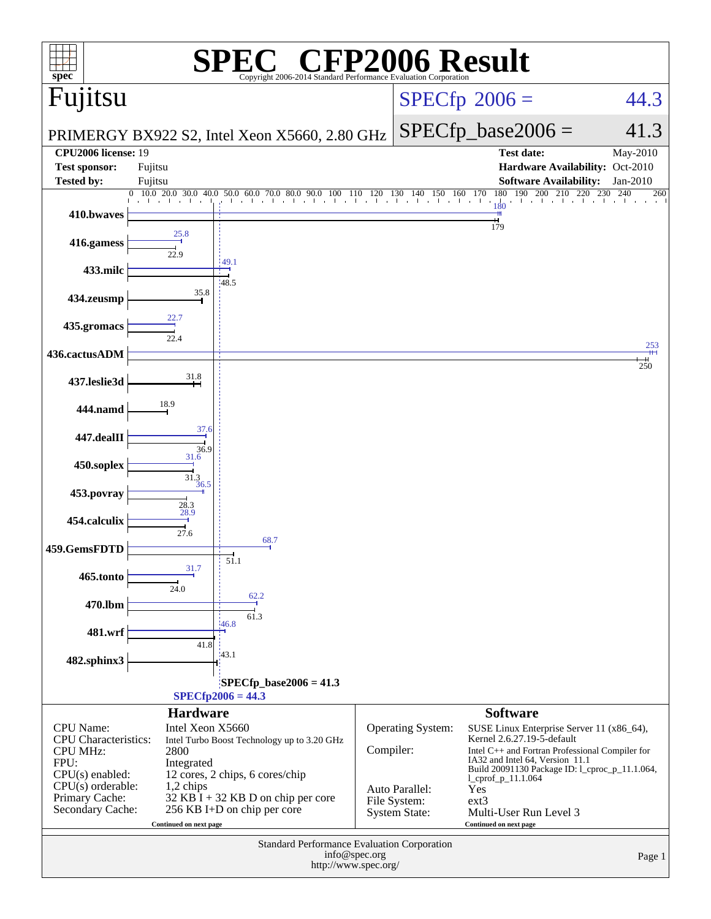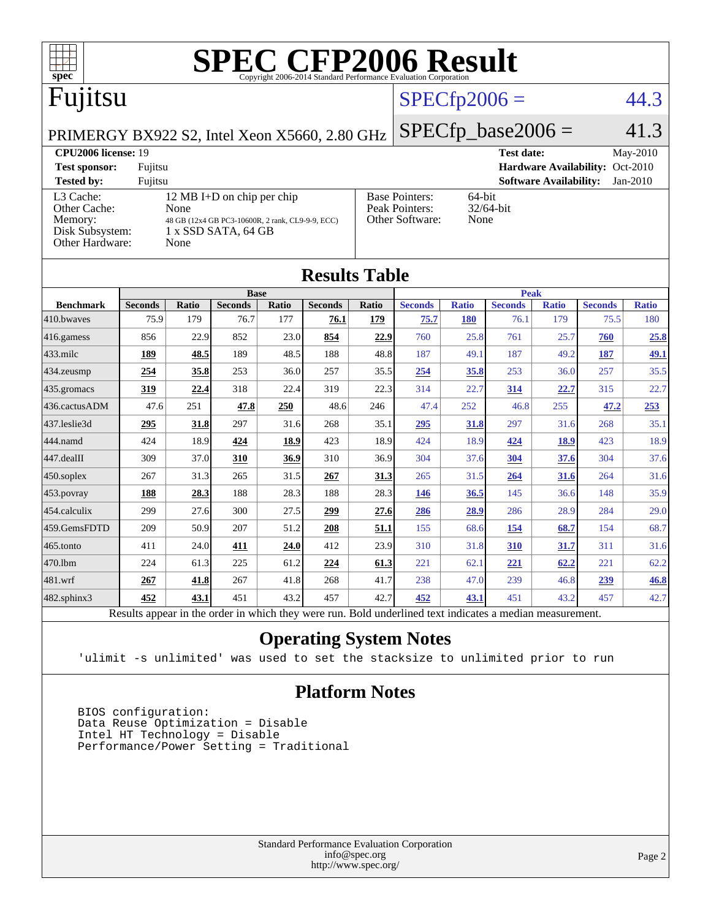

| 410.bwayes                                                                                               | 75.9 | 179  | 76.7       | 177  | 76.1 | 179         | 75.7 | <b>180</b> | 76.1       | 179         | 75.5 | 180         |
|----------------------------------------------------------------------------------------------------------|------|------|------------|------|------|-------------|------|------------|------------|-------------|------|-------------|
| 416.gamess                                                                                               | 856  | 22.9 | 852        | 23.0 | 854  | 22.9        | 760  | 25.8       | 761        | 25.7        | 760  | 25.8        |
| $433$ .milc                                                                                              | 189  | 48.5 | 189        | 48.5 | 188  | 48.8        | 187  | 49.1       | 187        | 49.2        | 187  | <u>49.1</u> |
| 434.zeusmp                                                                                               | 254  | 35.8 | 253        | 36.0 | 257  | 35.5        | 254  | 35.8       | 253        | 36.0        | 257  | 35.5        |
| 435.gromacs                                                                                              | 319  | 22.4 | 318        | 22.4 | 319  | 22.3        | 314  | 22.7       | 314        | 22.7        | 315  | 22.7        |
| 436.cactusADM                                                                                            | 47.6 | 251  | 47.8       | 250  | 48.6 | 246         | 47.4 | 252        | 46.8       | 255         | 47.2 | 253         |
| 437.leslie3d                                                                                             | 295  | 31.8 | 297        | 31.6 | 268  | 35.1        | 295  | 31.8       | 297        | 31.6        | 268  | 35.1        |
| 444.namd                                                                                                 | 424  | 18.9 | 424        | 18.9 | 423  | 18.9        | 424  | 18.9       | 424        | <u>18.9</u> | 423  | 18.9        |
| 447.dealII                                                                                               | 309  | 37.0 | 310        | 36.9 | 310  | 36.9        | 304  | 37.6       | 304        | 37.6        | 304  | 37.6        |
| 450.soplex                                                                                               | 267  | 31.3 | 265        | 31.5 | 267  | 31.3        | 265  | 31.5       | 264        | 31.6        | 264  | 31.6        |
| 453.povray                                                                                               | 188  | 28.3 | 188        | 28.3 | 188  | 28.3        | 146  | 36.5       | 145        | 36.6        | 148  | 35.9        |
| 454.calculix                                                                                             | 299  | 27.6 | 300        | 27.5 | 299  | 27.6        | 286  | 28.9       | 286        | 28.9        | 284  | 29.0        |
| 459.GemsFDTD                                                                                             | 209  | 50.9 | 207        | 51.2 | 208  | <u>51.1</u> | 155  | 68.6       | 154        | 68.7        | 154  | 68.7        |
| 465.tonto                                                                                                | 411  | 24.0 | <b>411</b> | 24.0 | 412  | 23.9        | 310  | 31.8       | <b>310</b> | <u>31.7</u> | 311  | 31.6        |
| 470.1bm                                                                                                  | 224  | 61.3 | 225        | 61.2 | 224  | 61.3        | 221  | 62.1       | 221        | 62.2        | 221  | 62.2        |
| 481.wrf                                                                                                  | 267  | 41.8 | 267        | 41.8 | 268  | 41.7        | 238  | 47.0       | 239        | 46.8        | 239  | 46.8        |
| 482.sphinx3                                                                                              | 452  | 43.1 | 451        | 43.2 | 457  | 42.7        | 452  | 43.1       | 451        | 43.2        | 457  | 42.7        |
| Results appear in the order in which they were run. Bold underlined text indicates a median measurement. |      |      |            |      |      |             |      |            |            |             |      |             |

#### **[Operating System Notes](http://www.spec.org/auto/cpu2006/Docs/result-fields.html#OperatingSystemNotes)**

'ulimit -s unlimited' was used to set the stacksize to unlimited prior to run

#### **[Platform Notes](http://www.spec.org/auto/cpu2006/Docs/result-fields.html#PlatformNotes)**

 BIOS configuration: Data Reuse Optimization = Disable Intel HT Technology = Disable Performance/Power Setting = Traditional

> Standard Performance Evaluation Corporation [info@spec.org](mailto:info@spec.org) <http://www.spec.org/>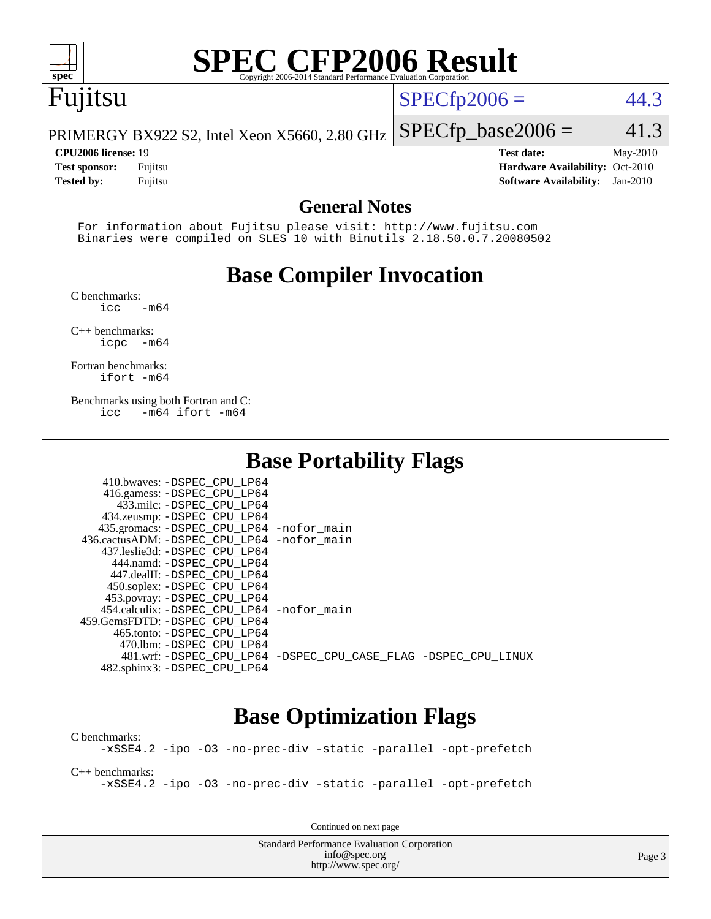

# **[SPEC CFP2006 Result](http://www.spec.org/auto/cpu2006/Docs/result-fields.html#SPECCFP2006Result)**

# Fujitsu

 $SPECfp2006 = 44.3$  $SPECfp2006 = 44.3$ 

PRIMERGY BX922 S2, Intel Xeon X5660, 2.80 GHz  $SPECfp\_base2006 = 41.3$ 

**[Tested by:](http://www.spec.org/auto/cpu2006/Docs/result-fields.html#Testedby)** Fujitsu **[Software Availability:](http://www.spec.org/auto/cpu2006/Docs/result-fields.html#SoftwareAvailability)** Jan-2010

**[CPU2006 license:](http://www.spec.org/auto/cpu2006/Docs/result-fields.html#CPU2006license)** 19 **[Test date:](http://www.spec.org/auto/cpu2006/Docs/result-fields.html#Testdate)** May-2010 **[Test sponsor:](http://www.spec.org/auto/cpu2006/Docs/result-fields.html#Testsponsor)** Fujitsu **[Hardware Availability:](http://www.spec.org/auto/cpu2006/Docs/result-fields.html#HardwareAvailability)** Oct-2010

#### **[General Notes](http://www.spec.org/auto/cpu2006/Docs/result-fields.html#GeneralNotes)**

 For information about Fujitsu please visit: <http://www.fujitsu.com> Binaries were compiled on SLES 10 with Binutils 2.18.50.0.7.20080502

## **[Base Compiler Invocation](http://www.spec.org/auto/cpu2006/Docs/result-fields.html#BaseCompilerInvocation)**

[C benchmarks](http://www.spec.org/auto/cpu2006/Docs/result-fields.html#Cbenchmarks):

 $\text{icc}$  -m64 [C++ benchmarks:](http://www.spec.org/auto/cpu2006/Docs/result-fields.html#CXXbenchmarks)

[icpc -m64](http://www.spec.org/cpu2006/results/res2010q3/cpu2006-20100702-12104.flags.html#user_CXXbase_intel_icpc_64bit_bedb90c1146cab66620883ef4f41a67e)

[Fortran benchmarks](http://www.spec.org/auto/cpu2006/Docs/result-fields.html#Fortranbenchmarks): [ifort -m64](http://www.spec.org/cpu2006/results/res2010q3/cpu2006-20100702-12104.flags.html#user_FCbase_intel_ifort_64bit_ee9d0fb25645d0210d97eb0527dcc06e)

[Benchmarks using both Fortran and C](http://www.spec.org/auto/cpu2006/Docs/result-fields.html#BenchmarksusingbothFortranandC): [icc -m64](http://www.spec.org/cpu2006/results/res2010q3/cpu2006-20100702-12104.flags.html#user_CC_FCbase_intel_icc_64bit_0b7121f5ab7cfabee23d88897260401c) [ifort -m64](http://www.spec.org/cpu2006/results/res2010q3/cpu2006-20100702-12104.flags.html#user_CC_FCbase_intel_ifort_64bit_ee9d0fb25645d0210d97eb0527dcc06e)

#### **[Base Portability Flags](http://www.spec.org/auto/cpu2006/Docs/result-fields.html#BasePortabilityFlags)**

| 410.bwaves: -DSPEC CPU LP64<br>416.gamess: -DSPEC_CPU_LP64<br>433.milc: -DSPEC CPU LP64<br>434.zeusmp: - DSPEC_CPU_LP64<br>435.gromacs: -DSPEC_CPU_LP64 -nofor_main<br>436.cactusADM: - DSPEC CPU LP64 - nofor main<br>437.leslie3d: -DSPEC CPU LP64<br>444.namd: -DSPEC CPU LP64<br>447.dealII: -DSPEC CPU LP64 |                                                                |
|------------------------------------------------------------------------------------------------------------------------------------------------------------------------------------------------------------------------------------------------------------------------------------------------------------------|----------------------------------------------------------------|
| 450.soplex: -DSPEC_CPU_LP64<br>453.povray: -DSPEC_CPU_LP64<br>454.calculix: - DSPEC CPU LP64 - nofor main<br>459.GemsFDTD: -DSPEC_CPU LP64<br>465.tonto: - DSPEC CPU LP64                                                                                                                                        |                                                                |
| 470.1bm: - DSPEC CPU LP64<br>482.sphinx3: -DSPEC_CPU_LP64                                                                                                                                                                                                                                                        | 481.wrf: -DSPEC CPU_LP64 -DSPEC_CPU_CASE_FLAG -DSPEC_CPU_LINUX |

### **[Base Optimization Flags](http://www.spec.org/auto/cpu2006/Docs/result-fields.html#BaseOptimizationFlags)**

[C benchmarks](http://www.spec.org/auto/cpu2006/Docs/result-fields.html#Cbenchmarks): [-xSSE4.2](http://www.spec.org/cpu2006/results/res2010q3/cpu2006-20100702-12104.flags.html#user_CCbase_f-xSSE42_f91528193cf0b216347adb8b939d4107) [-ipo](http://www.spec.org/cpu2006/results/res2010q3/cpu2006-20100702-12104.flags.html#user_CCbase_f-ipo) [-O3](http://www.spec.org/cpu2006/results/res2010q3/cpu2006-20100702-12104.flags.html#user_CCbase_f-O3) [-no-prec-div](http://www.spec.org/cpu2006/results/res2010q3/cpu2006-20100702-12104.flags.html#user_CCbase_f-no-prec-div) [-static](http://www.spec.org/cpu2006/results/res2010q3/cpu2006-20100702-12104.flags.html#user_CCbase_f-static) [-parallel](http://www.spec.org/cpu2006/results/res2010q3/cpu2006-20100702-12104.flags.html#user_CCbase_f-parallel) [-opt-prefetch](http://www.spec.org/cpu2006/results/res2010q3/cpu2006-20100702-12104.flags.html#user_CCbase_f-opt-prefetch)

[C++ benchmarks:](http://www.spec.org/auto/cpu2006/Docs/result-fields.html#CXXbenchmarks)

[-xSSE4.2](http://www.spec.org/cpu2006/results/res2010q3/cpu2006-20100702-12104.flags.html#user_CXXbase_f-xSSE42_f91528193cf0b216347adb8b939d4107) [-ipo](http://www.spec.org/cpu2006/results/res2010q3/cpu2006-20100702-12104.flags.html#user_CXXbase_f-ipo) [-O3](http://www.spec.org/cpu2006/results/res2010q3/cpu2006-20100702-12104.flags.html#user_CXXbase_f-O3) [-no-prec-div](http://www.spec.org/cpu2006/results/res2010q3/cpu2006-20100702-12104.flags.html#user_CXXbase_f-no-prec-div) [-static](http://www.spec.org/cpu2006/results/res2010q3/cpu2006-20100702-12104.flags.html#user_CXXbase_f-static) [-parallel](http://www.spec.org/cpu2006/results/res2010q3/cpu2006-20100702-12104.flags.html#user_CXXbase_f-parallel) [-opt-prefetch](http://www.spec.org/cpu2006/results/res2010q3/cpu2006-20100702-12104.flags.html#user_CXXbase_f-opt-prefetch)

Continued on next page

Standard Performance Evaluation Corporation [info@spec.org](mailto:info@spec.org) <http://www.spec.org/>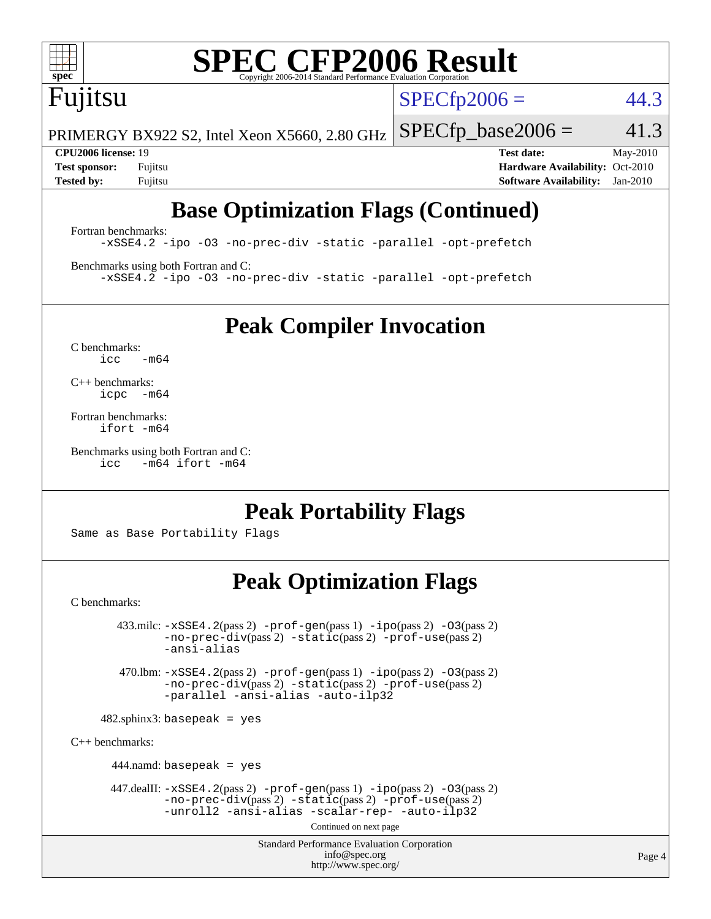

# **[SPEC CFP2006 Result](http://www.spec.org/auto/cpu2006/Docs/result-fields.html#SPECCFP2006Result)**

# Fujitsu

 $SPECTp2006 = 44.3$ 

PRIMERGY BX922 S2, Intel Xeon X5660, 2.80 GHz  $SPECTp\_base2006 = 41.3$ 

**[CPU2006 license:](http://www.spec.org/auto/cpu2006/Docs/result-fields.html#CPU2006license)** 19 **[Test date:](http://www.spec.org/auto/cpu2006/Docs/result-fields.html#Testdate)** May-2010 **[Test sponsor:](http://www.spec.org/auto/cpu2006/Docs/result-fields.html#Testsponsor)** Fujitsu **[Hardware Availability:](http://www.spec.org/auto/cpu2006/Docs/result-fields.html#HardwareAvailability)** Oct-2010 **[Tested by:](http://www.spec.org/auto/cpu2006/Docs/result-fields.html#Testedby)** Fujitsu **[Software Availability:](http://www.spec.org/auto/cpu2006/Docs/result-fields.html#SoftwareAvailability)** Jan-2010

# **[Base Optimization Flags \(Continued\)](http://www.spec.org/auto/cpu2006/Docs/result-fields.html#BaseOptimizationFlags)**

[Fortran benchmarks](http://www.spec.org/auto/cpu2006/Docs/result-fields.html#Fortranbenchmarks): [-xSSE4.2](http://www.spec.org/cpu2006/results/res2010q3/cpu2006-20100702-12104.flags.html#user_FCbase_f-xSSE42_f91528193cf0b216347adb8b939d4107) [-ipo](http://www.spec.org/cpu2006/results/res2010q3/cpu2006-20100702-12104.flags.html#user_FCbase_f-ipo) [-O3](http://www.spec.org/cpu2006/results/res2010q3/cpu2006-20100702-12104.flags.html#user_FCbase_f-O3) [-no-prec-div](http://www.spec.org/cpu2006/results/res2010q3/cpu2006-20100702-12104.flags.html#user_FCbase_f-no-prec-div) [-static](http://www.spec.org/cpu2006/results/res2010q3/cpu2006-20100702-12104.flags.html#user_FCbase_f-static) [-parallel](http://www.spec.org/cpu2006/results/res2010q3/cpu2006-20100702-12104.flags.html#user_FCbase_f-parallel) [-opt-prefetch](http://www.spec.org/cpu2006/results/res2010q3/cpu2006-20100702-12104.flags.html#user_FCbase_f-opt-prefetch)

[Benchmarks using both Fortran and C](http://www.spec.org/auto/cpu2006/Docs/result-fields.html#BenchmarksusingbothFortranandC): [-xSSE4.2](http://www.spec.org/cpu2006/results/res2010q3/cpu2006-20100702-12104.flags.html#user_CC_FCbase_f-xSSE42_f91528193cf0b216347adb8b939d4107) [-ipo](http://www.spec.org/cpu2006/results/res2010q3/cpu2006-20100702-12104.flags.html#user_CC_FCbase_f-ipo) [-O3](http://www.spec.org/cpu2006/results/res2010q3/cpu2006-20100702-12104.flags.html#user_CC_FCbase_f-O3) [-no-prec-div](http://www.spec.org/cpu2006/results/res2010q3/cpu2006-20100702-12104.flags.html#user_CC_FCbase_f-no-prec-div) [-static](http://www.spec.org/cpu2006/results/res2010q3/cpu2006-20100702-12104.flags.html#user_CC_FCbase_f-static) [-parallel](http://www.spec.org/cpu2006/results/res2010q3/cpu2006-20100702-12104.flags.html#user_CC_FCbase_f-parallel) [-opt-prefetch](http://www.spec.org/cpu2006/results/res2010q3/cpu2006-20100702-12104.flags.html#user_CC_FCbase_f-opt-prefetch)

**[Peak Compiler Invocation](http://www.spec.org/auto/cpu2006/Docs/result-fields.html#PeakCompilerInvocation)**

[C benchmarks](http://www.spec.org/auto/cpu2006/Docs/result-fields.html#Cbenchmarks):  $icc$   $-m64$ 

[C++ benchmarks:](http://www.spec.org/auto/cpu2006/Docs/result-fields.html#CXXbenchmarks) [icpc -m64](http://www.spec.org/cpu2006/results/res2010q3/cpu2006-20100702-12104.flags.html#user_CXXpeak_intel_icpc_64bit_bedb90c1146cab66620883ef4f41a67e)

[Fortran benchmarks](http://www.spec.org/auto/cpu2006/Docs/result-fields.html#Fortranbenchmarks): [ifort -m64](http://www.spec.org/cpu2006/results/res2010q3/cpu2006-20100702-12104.flags.html#user_FCpeak_intel_ifort_64bit_ee9d0fb25645d0210d97eb0527dcc06e)

[Benchmarks using both Fortran and C](http://www.spec.org/auto/cpu2006/Docs/result-fields.html#BenchmarksusingbothFortranandC): [icc -m64](http://www.spec.org/cpu2006/results/res2010q3/cpu2006-20100702-12104.flags.html#user_CC_FCpeak_intel_icc_64bit_0b7121f5ab7cfabee23d88897260401c) [ifort -m64](http://www.spec.org/cpu2006/results/res2010q3/cpu2006-20100702-12104.flags.html#user_CC_FCpeak_intel_ifort_64bit_ee9d0fb25645d0210d97eb0527dcc06e)

## **[Peak Portability Flags](http://www.spec.org/auto/cpu2006/Docs/result-fields.html#PeakPortabilityFlags)**

Same as Base Portability Flags

# **[Peak Optimization Flags](http://www.spec.org/auto/cpu2006/Docs/result-fields.html#PeakOptimizationFlags)**

[C benchmarks](http://www.spec.org/auto/cpu2006/Docs/result-fields.html#Cbenchmarks):

 $433 \text{.}$ milc:  $-xSSE4$ .  $2(pass 2)$  - $prof-gen(pass 1)$  - $ipo(pass 2)$  [-O3](http://www.spec.org/cpu2006/results/res2010q3/cpu2006-20100702-12104.flags.html#user_peakPASS2_CFLAGSPASS2_LDFLAGS433_milc_f-O3) $(pass 2)$ [-no-prec-div](http://www.spec.org/cpu2006/results/res2010q3/cpu2006-20100702-12104.flags.html#user_peakPASS2_CFLAGSPASS2_LDFLAGS433_milc_f-no-prec-div)(pass 2) [-static](http://www.spec.org/cpu2006/results/res2010q3/cpu2006-20100702-12104.flags.html#user_peakPASS2_CFLAGSPASS2_LDFLAGS433_milc_f-static)(pass 2) [-prof-use](http://www.spec.org/cpu2006/results/res2010q3/cpu2006-20100702-12104.flags.html#user_peakPASS2_CFLAGSPASS2_LDFLAGS433_milc_prof_use_bccf7792157ff70d64e32fe3e1250b55)(pass 2) [-ansi-alias](http://www.spec.org/cpu2006/results/res2010q3/cpu2006-20100702-12104.flags.html#user_peakOPTIMIZE433_milc_f-ansi-alias) 470.lbm: [-xSSE4.2](http://www.spec.org/cpu2006/results/res2010q3/cpu2006-20100702-12104.flags.html#user_peakPASS2_CFLAGSPASS2_LDFLAGS470_lbm_f-xSSE42_f91528193cf0b216347adb8b939d4107)(pass 2) [-prof-gen](http://www.spec.org/cpu2006/results/res2010q3/cpu2006-20100702-12104.flags.html#user_peakPASS1_CFLAGSPASS1_LDFLAGS470_lbm_prof_gen_e43856698f6ca7b7e442dfd80e94a8fc)(pass 1) [-ipo](http://www.spec.org/cpu2006/results/res2010q3/cpu2006-20100702-12104.flags.html#user_peakPASS2_CFLAGSPASS2_LDFLAGS470_lbm_f-ipo)(pass 2) [-O3](http://www.spec.org/cpu2006/results/res2010q3/cpu2006-20100702-12104.flags.html#user_peakPASS2_CFLAGSPASS2_LDFLAGS470_lbm_f-O3)(pass 2) [-no-prec-div](http://www.spec.org/cpu2006/results/res2010q3/cpu2006-20100702-12104.flags.html#user_peakPASS2_CFLAGSPASS2_LDFLAGS470_lbm_f-no-prec-div)(pass 2) [-static](http://www.spec.org/cpu2006/results/res2010q3/cpu2006-20100702-12104.flags.html#user_peakPASS2_CFLAGSPASS2_LDFLAGS470_lbm_f-static)(pass 2) [-prof-use](http://www.spec.org/cpu2006/results/res2010q3/cpu2006-20100702-12104.flags.html#user_peakPASS2_CFLAGSPASS2_LDFLAGS470_lbm_prof_use_bccf7792157ff70d64e32fe3e1250b55)(pass 2) [-parallel](http://www.spec.org/cpu2006/results/res2010q3/cpu2006-20100702-12104.flags.html#user_peakOPTIMIZE470_lbm_f-parallel) [-ansi-alias](http://www.spec.org/cpu2006/results/res2010q3/cpu2006-20100702-12104.flags.html#user_peakOPTIMIZE470_lbm_f-ansi-alias) [-auto-ilp32](http://www.spec.org/cpu2006/results/res2010q3/cpu2006-20100702-12104.flags.html#user_peakCOPTIMIZE470_lbm_f-auto-ilp32)  $482$ .sphinx3: basepeak = yes [C++ benchmarks:](http://www.spec.org/auto/cpu2006/Docs/result-fields.html#CXXbenchmarks) 444.namd: basepeak = yes 447.dealII: [-xSSE4.2](http://www.spec.org/cpu2006/results/res2010q3/cpu2006-20100702-12104.flags.html#user_peakPASS2_CXXFLAGSPASS2_LDFLAGS447_dealII_f-xSSE42_f91528193cf0b216347adb8b939d4107)(pass 2) [-prof-gen](http://www.spec.org/cpu2006/results/res2010q3/cpu2006-20100702-12104.flags.html#user_peakPASS1_CXXFLAGSPASS1_LDFLAGS447_dealII_prof_gen_e43856698f6ca7b7e442dfd80e94a8fc)(pass 1) [-ipo](http://www.spec.org/cpu2006/results/res2010q3/cpu2006-20100702-12104.flags.html#user_peakPASS2_CXXFLAGSPASS2_LDFLAGS447_dealII_f-ipo)(pass 2) [-O3](http://www.spec.org/cpu2006/results/res2010q3/cpu2006-20100702-12104.flags.html#user_peakPASS2_CXXFLAGSPASS2_LDFLAGS447_dealII_f-O3)(pass 2) [-no-prec-div](http://www.spec.org/cpu2006/results/res2010q3/cpu2006-20100702-12104.flags.html#user_peakPASS2_CXXFLAGSPASS2_LDFLAGS447_dealII_f-no-prec-div)(pass 2) [-static](http://www.spec.org/cpu2006/results/res2010q3/cpu2006-20100702-12104.flags.html#user_peakPASS2_CXXFLAGSPASS2_LDFLAGS447_dealII_f-static)(pass 2) [-prof-use](http://www.spec.org/cpu2006/results/res2010q3/cpu2006-20100702-12104.flags.html#user_peakPASS2_CXXFLAGSPASS2_LDFLAGS447_dealII_prof_use_bccf7792157ff70d64e32fe3e1250b55)(pass 2) [-unroll2](http://www.spec.org/cpu2006/results/res2010q3/cpu2006-20100702-12104.flags.html#user_peakOPTIMIZE447_dealII_f-unroll_784dae83bebfb236979b41d2422d7ec2) [-ansi-alias](http://www.spec.org/cpu2006/results/res2010q3/cpu2006-20100702-12104.flags.html#user_peakOPTIMIZE447_dealII_f-ansi-alias) [-scalar-rep-](http://www.spec.org/cpu2006/results/res2010q3/cpu2006-20100702-12104.flags.html#user_peakOPTIMIZE447_dealII_f-disablescalarrep_abbcad04450fb118e4809c81d83c8a1d) [-auto-ilp32](http://www.spec.org/cpu2006/results/res2010q3/cpu2006-20100702-12104.flags.html#user_peakCXXOPTIMIZE447_dealII_f-auto-ilp32)

Continued on next page

Standard Performance Evaluation Corporation [info@spec.org](mailto:info@spec.org) <http://www.spec.org/>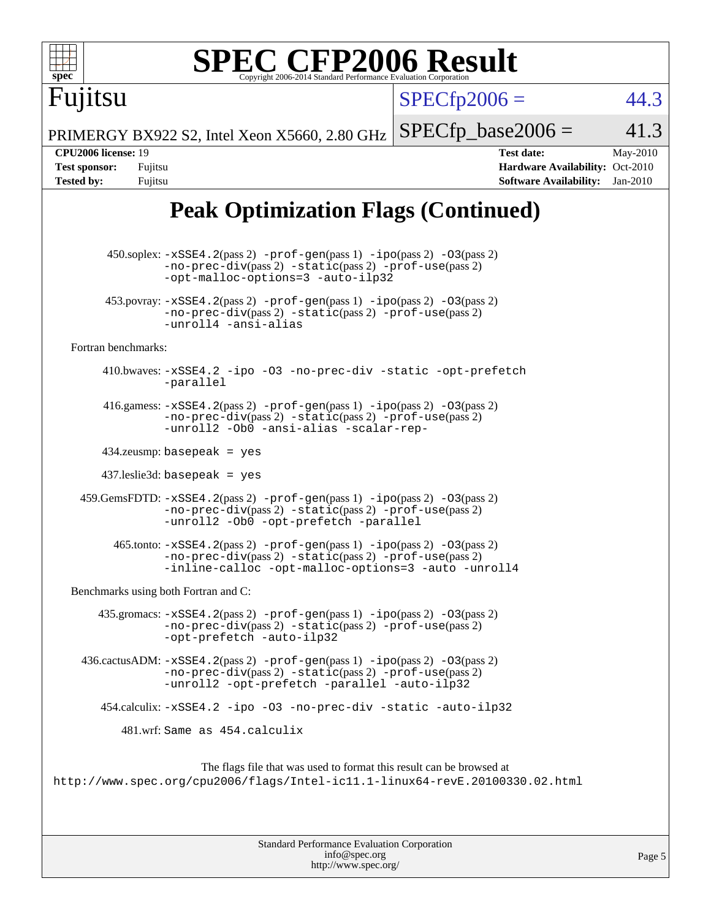

The flags file that was used to format this result can be browsed at <http://www.spec.org/cpu2006/flags/Intel-ic11.1-linux64-revE.20100330.02.html>